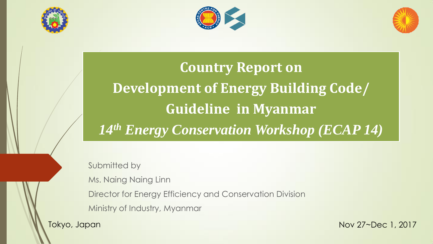





**Country Report on Development of Energy Building Code/ Guideline in Myanmar** *14th Energy Conservation Workshop (ECAP 14)*

Submitted by

Ms. Naing Naing Linn

Director for Energy Efficiency and Conservation Division

Ministry of Industry, Myanmar

Tokyo, Japan Nov 27~Dec 1, 2017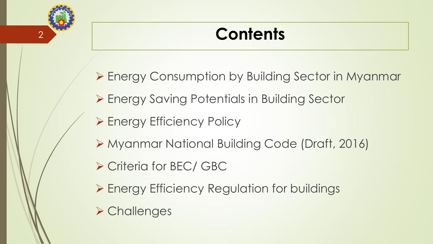

## **Contents**

- Energy Consumption by Building Sector in Myanmar
- ▶ Energy Saving Potentials in Building Sector
- ▶ Energy Efficiency Policy
- Myanmar National Building Code (Draft, 2016)
- ▶ Criteria for BEC/ GBC
- ▶ Energy Efficiency Regulation for buildings
- **≻ Challenges**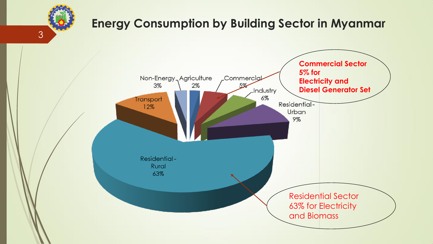## **Energy Consumption by Building Sector in Myanmar**

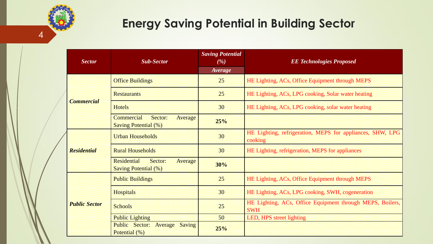

4

|  | <b>Sector</b>        | <b>Sub-Sector</b>                                                      | <b>Saving Potential</b><br>( %)<br><b>Average</b> | <b>EE Technologies Proposed</b>                                         |
|--|----------------------|------------------------------------------------------------------------|---------------------------------------------------|-------------------------------------------------------------------------|
|  | <b>Commercial</b>    | <b>Office Buildings</b>                                                | 25                                                | HE Lighting, ACs, Office Equipment through MEPS                         |
|  |                      | <b>Restaurants</b>                                                     | 25.                                               | HE Lighting, ACs, LPG cooking, Solar water heating                      |
|  |                      | Hotels                                                                 | 30                                                | HE Lighting, ACs, LPG cooking, solar water heating                      |
|  |                      | <b>Commercial</b><br>Sector:<br>Average<br><b>Saving Potential (%)</b> | 25%                                               |                                                                         |
|  | <b>Residential</b>   | <b>Urban Households</b>                                                | 30                                                | HE Lighting, refrigeration, MEPS for appliances, SHW, LPG<br>cooking    |
|  |                      | <b>Rural Households</b>                                                | 30 <sup>°</sup>                                   | HE Lighting, refrigeration, MEPS for appliances                         |
|  |                      | Sector:<br>Residential<br>Average<br><b>Saving Potential (%)</b>       | 30%                                               |                                                                         |
|  | <b>Public Sector</b> | <b>Public Buildings</b>                                                | 25                                                | HE Lighting, ACs, Office Equipment through MEPS                         |
|  |                      | <b>Hospitals</b>                                                       | 30                                                | HE Lighting, ACs, LPG cooking, SWH, cogeneration                        |
|  |                      | <b>Schools</b>                                                         | 25                                                | HE Lighting, ACs, Office Equipment through MEPS, Boilers,<br><b>SWH</b> |
|  |                      | <b>Public Lighting</b>                                                 | 50 <sup>°</sup>                                   | LED, HPS street lighting                                                |
|  |                      | Public Sector:<br>Average Saving<br>Potential (%)                      | 25%                                               |                                                                         |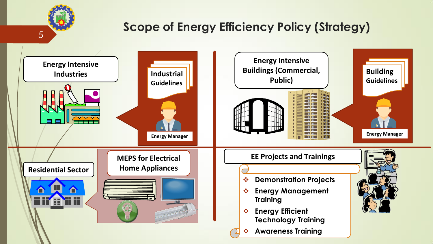## **Scope of Energy Efficiency Policy (Strategy)**

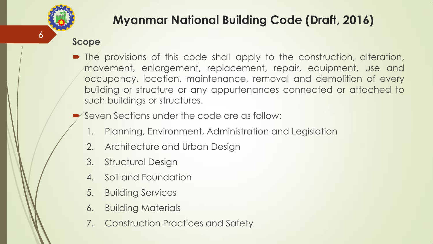

### **Myanmar National Building Code (Draft, 2016)**

#### **Scope**

- The provisions of this code shall apply to the construction, alteration, movement, enlargement, replacement, repair, equipment, use and occupancy, location, maintenance, removal and demolition of every building or structure or any appurtenances connected or attached to such buildings or structures.
	- Seven Sections under the code are as follow:
		- 1. Planning, Environment, Administration and Legislation
		- 2. Architecture and Urban Design
		- 3. Structural Design
		- 4. Soil and Foundation
		- 5. Building Services
		- 6. Building Materials
		- 7. Construction Practices and Safety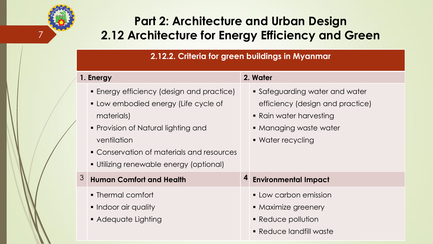### **Part 2: Architecture and Urban Design** 7 **2.12 Architecture for Energy Efficiency and Green**

**2.12.2. Criteria for green buildings in Myanmar**

|   | 1. Energy                                                                                                                                                                                                                                     | 2. Water                                                                                                                                     |
|---|-----------------------------------------------------------------------------------------------------------------------------------------------------------------------------------------------------------------------------------------------|----------------------------------------------------------------------------------------------------------------------------------------------|
|   | • Energy efficiency (design and practice)<br>• Low embodied energy (Life cycle of<br>materials)<br>• Provision of Natural lighting and<br>ventilation<br>• Conservation of materials and resources<br>• Utilizing renewable energy (optional) | • Safeguarding water and water<br>efficiency (design and practice)<br>• Rain water harvesting<br>• Managing waste water<br>• Water recycling |
| 3 | <b>Human Comfort and Health</b>                                                                                                                                                                                                               | <b>Environmental Impact</b>                                                                                                                  |
|   | • Thermal comfort<br>• Indoor air quality<br>• Adequate Lighting                                                                                                                                                                              | • Low carbon emission<br>• Maximize greenery<br>• Reduce pollution<br>• Reduce landfill waste                                                |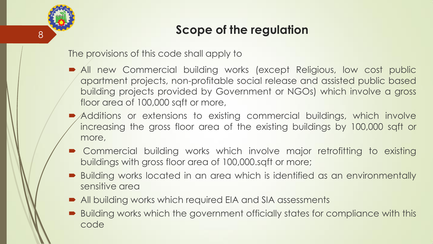#### **Scope of the regulation**

The provisions of this code shall apply to

8

- All new Commercial building works (except Religious, low cost public apartment projects, non-profitable social release and assisted public based building projects provided by Government or NGOs) which involve a gross floor area of 100,000 sqft or more,
- Additions or extensions to existing commercial buildings, which involve increasing the gross floor area of the existing buildings by 100,000 sqft or more,
- Commercial building works which involve major retrofitting to existing buildings with gross floor area of 100,000.sqft or more;
- Building works located in an area which is identified as an environmentally sensitive area
- All building works which required EIA and SIA assessments
- Building works which the government officially states for compliance with this code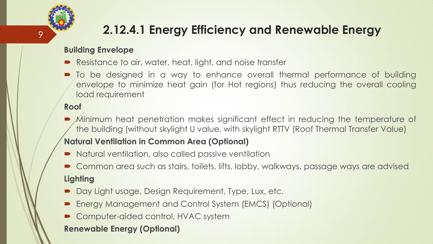# 9

## **2.12.4.1 Energy Efficiency and Renewable Energy**

#### **Building Envelope**

- Resistance to air, water, heat, light, and noise transfer
- To be designed in a way to enhance overall thermal performance of building envelope to minimize heat gain (for Hot regions) thus reducing the overall cooling load requirement

#### **Roof**

 Minimum heat penetration makes significant effect in reducing the temperature of the building (without skylight U value, with skylight RTTV (Roof Thermal Transfer Value)

#### **Natural Ventilation in Common Area (Optional)**

- Natural ventilation, also called passive ventilation
- Common area such as stairs, toilets, lifts, lobby, walkways, passage ways are advised **Lighting**
- Day Light usage, Design Requirement, Type, Lux, etc.
- Energy Management and Control System (EMCS) (Optional)
- Computer-aided control, HVAC system

#### **Renewable Energy (Optional)**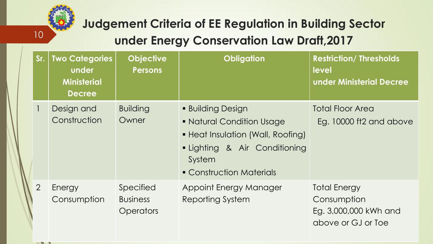

 $\mathbf{z}$ 

## **Judgement Criteria of EE Regulation in Building Sector under Energy Conservation Law Draft,2017**

| Sr.            | <b>Two Categories</b><br>under<br><b>Ministerial</b><br><b>Decree</b> | <b>Objective</b><br><b>Persons</b>               | <b>Obligation</b>                                                                                                                                               | <b>Restriction/ Thresholds</b><br>level<br><b>under Ministerial Decree</b>        |
|----------------|-----------------------------------------------------------------------|--------------------------------------------------|-----------------------------------------------------------------------------------------------------------------------------------------------------------------|-----------------------------------------------------------------------------------|
| $\mathbf{1}$   | Design and<br>Construction                                            | <b>Building</b><br>Owner                         | <b>Building Design</b><br>• Natural Condition Usage<br>• Heat Insulation (Wall, Roofing)<br>• Lighting & Air Conditioning<br>System<br>• Construction Materials | <b>Total Floor Area</b><br>Eg. 10000 ft2 and above                                |
| $\overline{2}$ | Energy<br>Consumption                                                 | Specified<br><b>Business</b><br><b>Operators</b> | Appoint Energy Manager<br>Reporting System                                                                                                                      | <b>Total Energy</b><br>Consumption<br>Eg. 3,000,000 kWh and<br>above or GJ or Toe |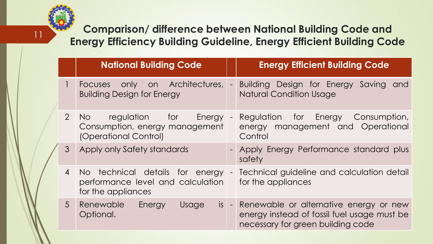**Comparison/ difference between National Building Code and Energy Efficiency Building Guideline, Energy Efficient Building Code** 

|  |                | <b>National Building Code</b>                                                                   |                | <b>Energy Efficient Building Code</b>                                                                                           |
|--|----------------|-------------------------------------------------------------------------------------------------|----------------|---------------------------------------------------------------------------------------------------------------------------------|
|  |                | only on Architectures,<br>Focuses<br><b>Building Design for Energy</b>                          | $\blacksquare$ | Building Design for Energy Saving and<br><b>Natural Condition Usage</b>                                                         |
|  |                | 2 No regulation for<br><b>Energy</b><br>Consumption, energy management<br>(Operational Control) | $\blacksquare$ | Regulation for Energy Consumption,<br>energy management and Operational<br>Control                                              |
|  | $\mathcal{S}$  | Apply only Safety standards                                                                     |                | - Apply Energy Performance standard plus<br>safety                                                                              |
|  | $\overline{4}$ | No technical details for energy<br>performance level and calculation<br>for the appliances      |                | - Technical guideline and calculation detail<br>for the appliances                                                              |
|  |                | 5 Renewable Energy<br>Usage<br>Optional.                                                        |                | is - Renewable or alternative energy or new<br>energy instead of fossil fuel usage must be<br>necessary for green building code |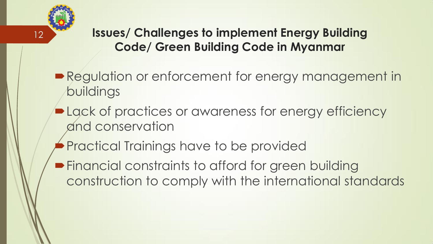

#### **Issues/ Challenges to implement Energy Building Code/ Green Building Code in Myanmar**

- **Regulation or enforcement for energy management in** buildings
- **Lack of practices or awareness for energy efficiency** and conservation
- Practical Trainings have to be provided
- **Financial constraints to afford for green building** construction to comply with the international standards